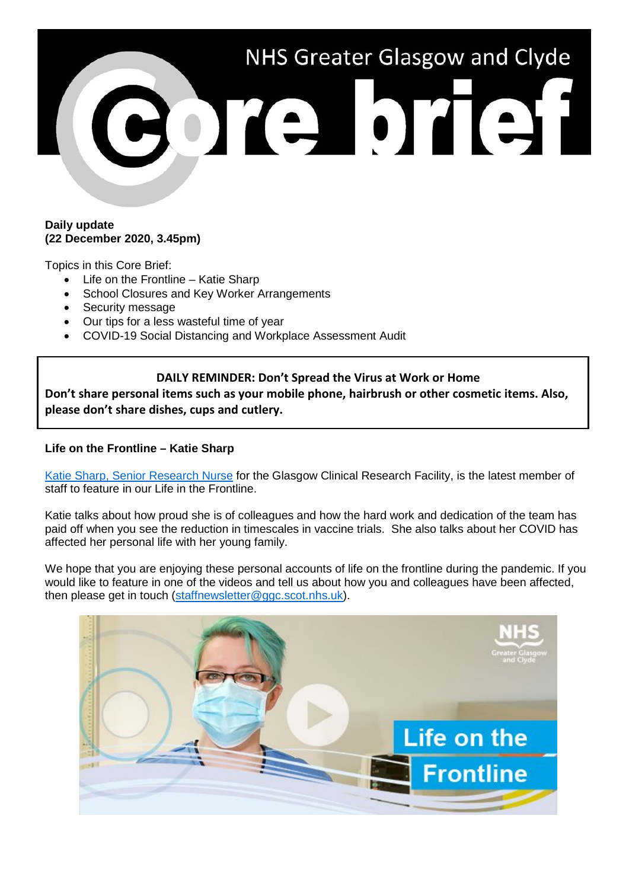

#### **Daily update (22 December 2020, 3.45pm)**

Topics in this Core Brief:

- Life on the Frontline Katie Sharp
- School Closures and Key Worker Arrangements
- Security message
- Our tips for a less wasteful time of year
- COVID-19 Social Distancing and Workplace Assessment Audit

# **DAILY REMINDER: Don't Spread the Virus at Work or Home**

**Don't share personal items such as your mobile phone, hairbrush or other cosmetic items. Also, please don't share dishes, cups and cutlery.**

# **Life on the Frontline – Katie Sharp**

[Katie Sharp, Senior Research Nurse](https://www.youtube.com/watch?v=-I8B0tqxdE0) for the Glasgow Clinical Research Facility, is the latest member of staff to feature in our Life in the Frontline.

Katie talks about how proud she is of colleagues and how the hard work and dedication of the team has paid off when you see the reduction in timescales in vaccine trials. She also talks about her COVID has affected her personal life with her young family.

We hope that you are enjoying these personal accounts of life on the frontline during the pandemic. If you would like to feature in one of the videos and tell us about how you and colleagues have been affected, then please get in touch [\(staffnewsletter@ggc.scot.nhs.uk\)](mailto:staffnewsletter@ggc.scot.nhs.uk).

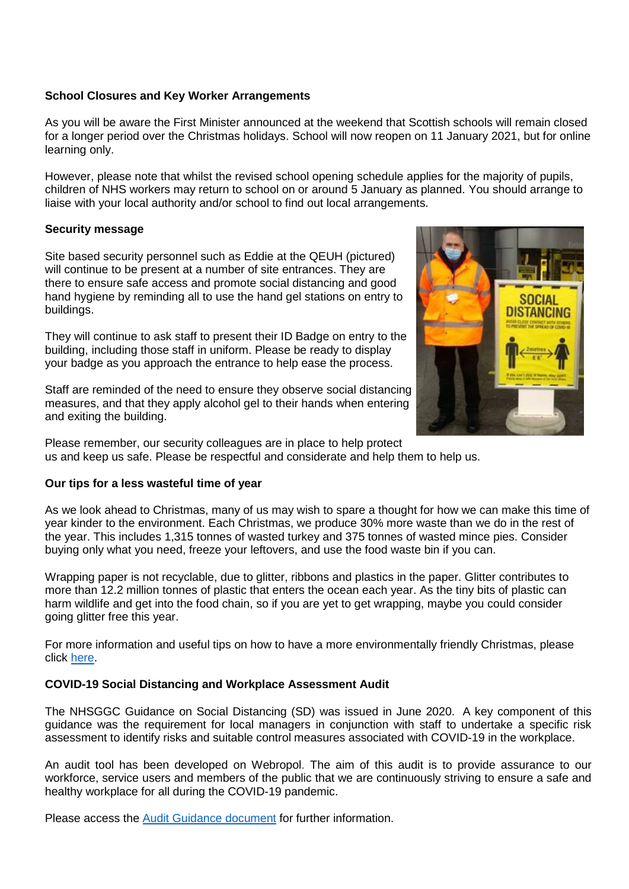## **School Closures and Key Worker Arrangements**

As you will be aware the First Minister announced at the weekend that Scottish schools will remain closed for a longer period over the Christmas holidays. School will now reopen on 11 January 2021, but for online learning only.

However, please note that whilst the revised school opening schedule applies for the majority of pupils, children of NHS workers may return to school on or around 5 January as planned. You should arrange to liaise with your local authority and/or school to find out local arrangements.

## **Security message**

Site based security personnel such as Eddie at the QEUH (pictured) will continue to be present at a number of site entrances. They are there to ensure safe access and promote social distancing and good hand hygiene by reminding all to use the hand gel stations on entry to buildings.

They will continue to ask staff to present their ID Badge on entry to the building, including those staff in uniform. Please be ready to display your badge as you approach the entrance to help ease the process.

Staff are reminded of the need to ensure they observe social distancing measures, and that they apply alcohol gel to their hands when entering and exiting the building.

Please remember, our security colleagues are in place to help protect us and keep us safe. Please be respectful and considerate and help them to help us.

## **Our tips for a less wasteful time of year**

As we look ahead to Christmas, many of us may wish to spare a thought for how we can make this time of year kinder to the environment. Each Christmas, we produce 30% more waste than we do in the rest of the year. This includes 1,315 tonnes of wasted turkey and 375 tonnes of wasted mince pies. Consider buying only what you need, freeze your leftovers, and use the food waste bin if you can.

Wrapping paper is not recyclable, due to glitter, ribbons and plastics in the paper. Glitter contributes to more than 12.2 million tonnes of plastic that enters the ocean each year. As the tiny bits of plastic can harm wildlife and get into the food chain, so if you are yet to get wrapping, maybe you could consider going glitter free this year.

For more information and useful tips on how to have a more environmentally friendly Christmas, please click [here.](http://www.staffnet.ggc.scot.nhs.uk/Corporate%20Services/Communications/Hot%20Topics/Documents/A%20less%20wasteful%20time%20of%20year.pdf)

# **COVID-19 Social Distancing and Workplace Assessment Audit**

The NHSGGC Guidance on Social Distancing (SD) was issued in June 2020. A key component of this guidance was the requirement for local managers in conjunction with staff to undertake a specific risk assessment to identify risks and suitable control measures associated with COVID-19 in the workplace.

An audit tool has been developed on Webropol. The aim of this audit is to provide assurance to our workforce, service users and members of the public that we are continuously striving to ensure a safe and healthy workplace for all during the COVID-19 pandemic.

Please access the [Audit Guidance document](https://www.nhsggc.org.uk/media/264335/covid19_staff_socdist_risk_assess_audit_guidance.doc) for further information.